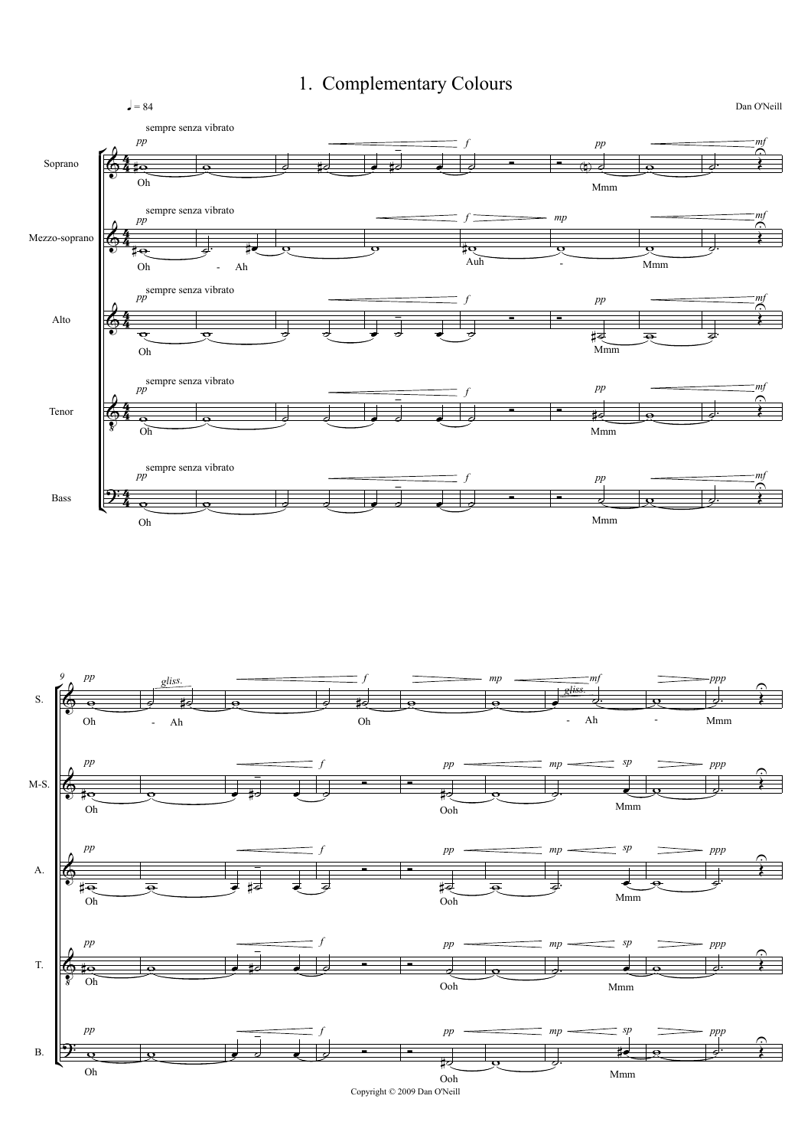## 1. Complementary Colours



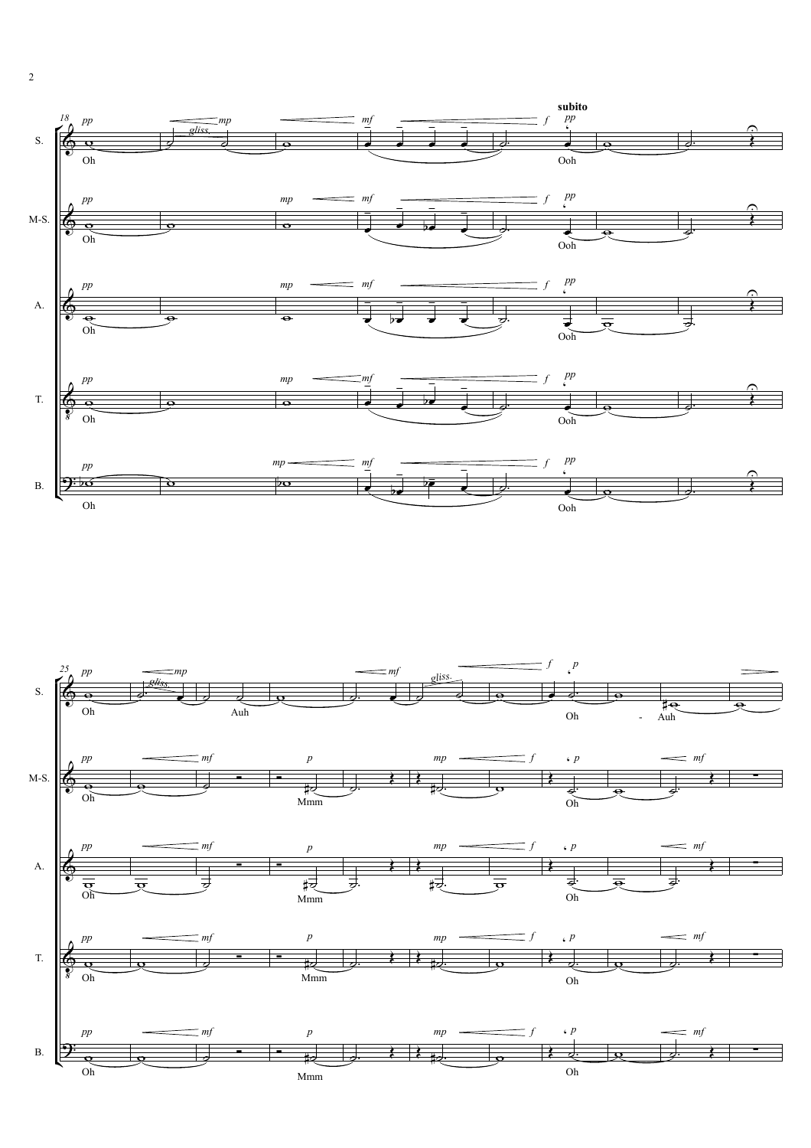

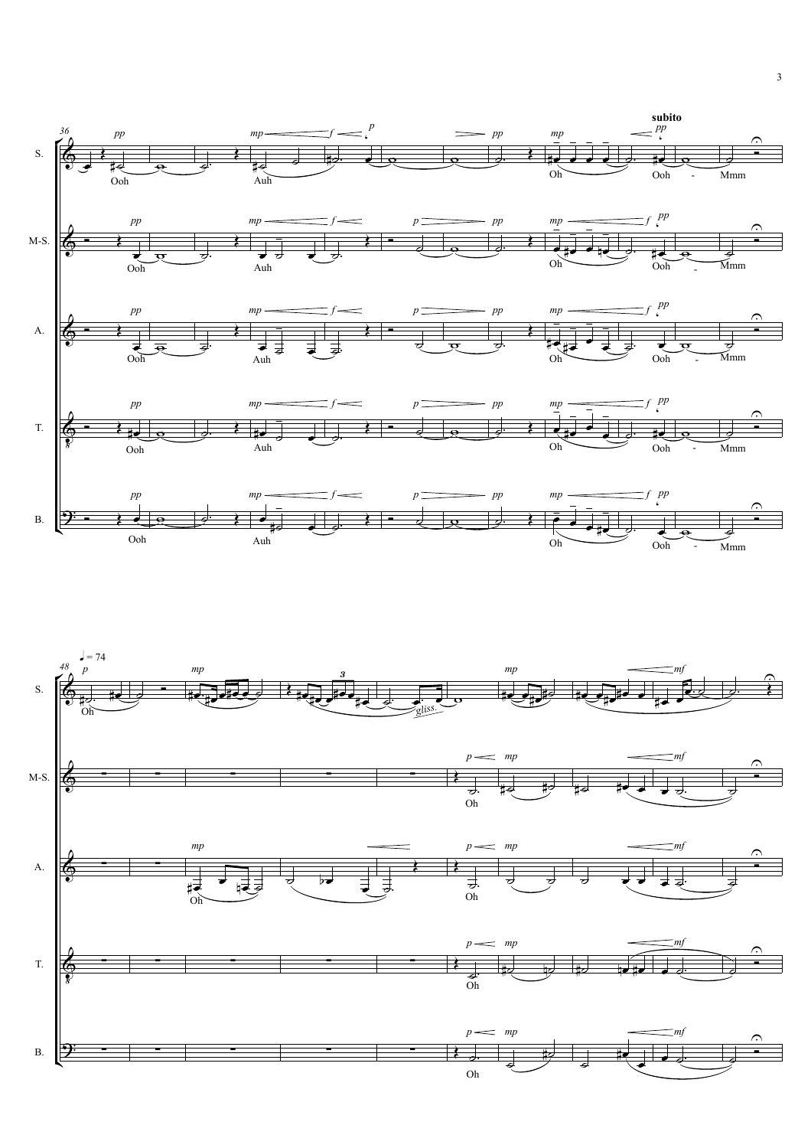

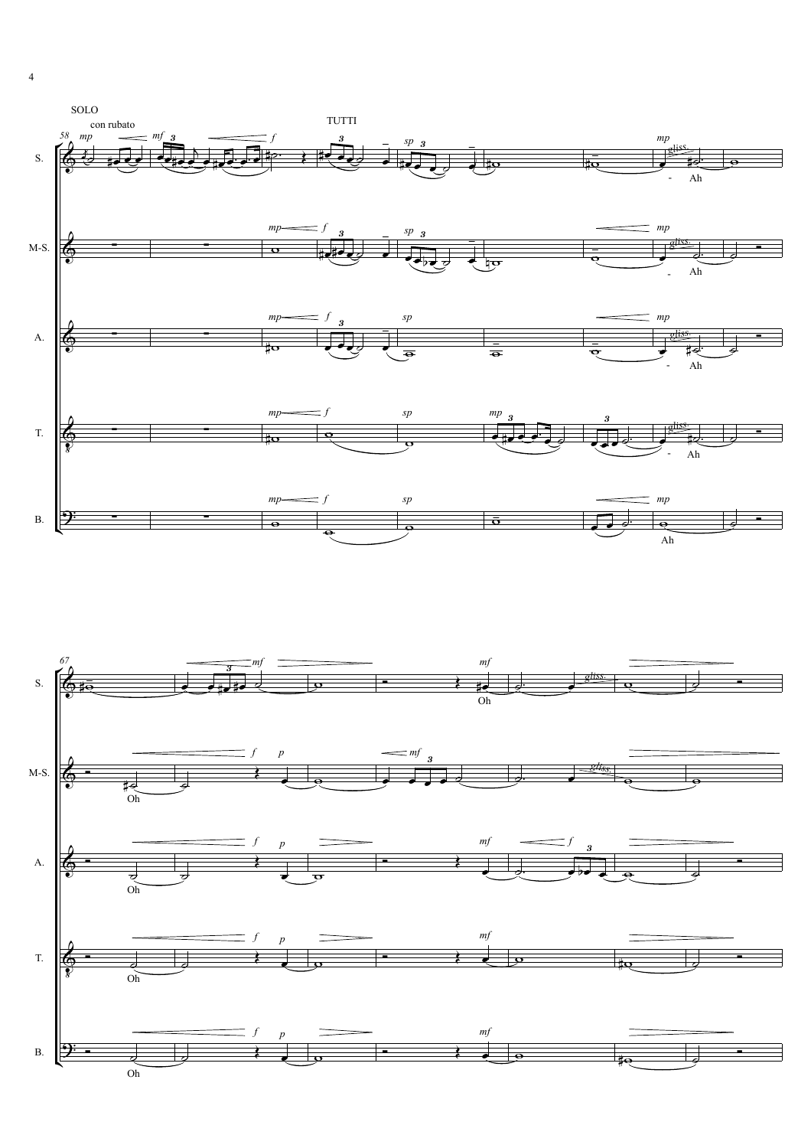



4